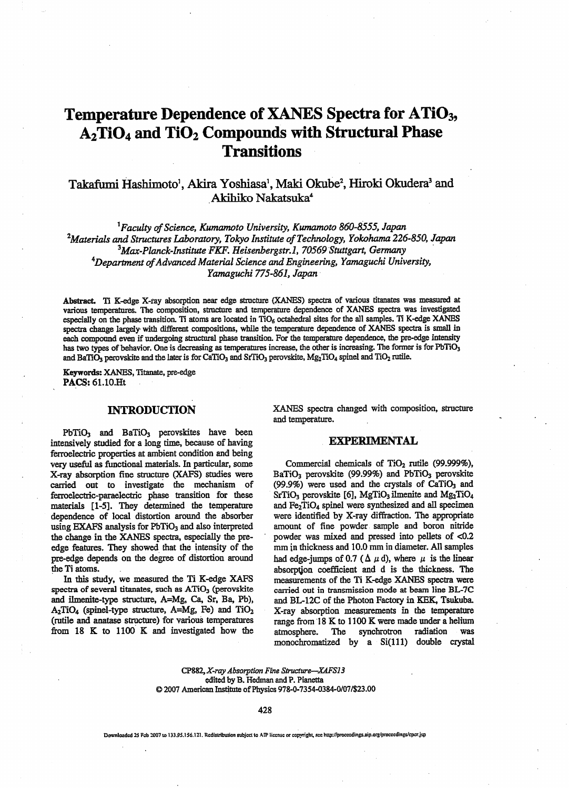# Temperature Dependence of XANES Spectra for ATiO<sub>3</sub>, A<sub>2</sub>TiO<sub>4</sub> and TiO<sub>2</sub> Compounds with Structural Phase **Transitions**

## Takafumi Hashimoto<sup>1</sup>, Akira Yoshiasa<sup>1</sup>, Maki Okube<sup>2</sup>, Hiroki Okudera<sup>3</sup> and Akihiko Nakatsuka4

 ${}^{1}$ Faculty of Science, Kumamoto University, Kumamoto 860-8555, Japan  $^{2}$ Materials and Structures Laboratory, Tokyo Institute of Technology, Yokohama 226-850, Japan  $3$ Max-Planck-Institute FKF. Heisenbergstr.1, 70569 Stuttgart, Germany  $4$ Department of Advanced Material Science and Engineering, Yamaguchi University, Yamaguchi 775-861, Japan

Abstract Ii K-edge X-ray absorption near edge structure (XANES) spectra of various titanates was measured at various temperatures. The composition, structure and temperature dependence of XANES spectra was investigated especially on the phase transition. Ti atoms are located in  $TiO<sub>6</sub>$  octahedral sites for the all samples. Ti K-edge XANES spectra change largely with different compositions, while the temperature dependence of XANES spectra is small in each compound even if undergoing structural phase transition. For the temperature dependence, the pre-edge intensity has two types of behavior. One is decreasing as temperatures increase, the other is increasing. The former is for PbTiO<sub>3</sub> and BaTiO<sub>3</sub> perovskite and the later is for CaTiO<sub>3</sub> and SrTiO<sub>3</sub> perovskite, Mg<sub>2</sub>TiO<sub>4</sub> spinel and TiO<sub>2</sub> rutile.

Keywords: XANES, Titanate, pre-edge PACS: 61.10.Ht

### INTRODUCTION

 $PbTiO<sub>3</sub>$  and  $BaTiO<sub>3</sub>$  perovskites have been intensively studied for a long time, because of having ferroelectric properties at ambient condition and being very useful as functional materials. In particular, some X-ray absorption fine structure (XAFS) studies were carried out to investigate die mechanism of ferroelectric-paraelectric phase transition for these materials [1-5]. They determined the temperature dependence of local distortion around the absorber using EXAFS analysis for PbTiO<sub>3</sub> and also interpreted the change in the XANES spectra, especially the preedge features. They showed that the intensity of the pre-edge depends on the degree of distortion around the Ti atoms.

In this study, we measured the Ti K-edge XAFS spectra of several titanates, such as  $ATiO<sub>3</sub>$  (perovskite and ilmenite-type structure, A=Mg, Ca, Sr, Ba, Pb),  $A_2TiO_4$  (spinel-type structure, A=Mg, Fe) and  $TiO_2$ (rutiie and anatase structure) for various temperatures from  $18$  K to  $1100$  K and investigated how the

XANES spectra changed with composition, structure and temperature.

#### EXPERIMENTAL

Commercial chemicals of TiO<sub>2</sub> rutile (99.999%), BaTiO<sub>3</sub> perovskite (99.99%) and PbTiO<sub>3</sub> perovskite (99.9%) were used and the crystals of  $CaTiO<sub>3</sub>$  and SrTiO<sub>3</sub> perovskite [6], MgTiO<sub>3</sub> ilmenite and Mg<sub>2</sub>TiO<sub>4</sub> and  $Fe<sub>2</sub>TiO<sub>4</sub>$  spinel were synthesized and all specimen were identified by X-ray diffraction. The appropriate amount of fine powder sample and boron nitride powder was mixed and pressed into pellets of <0.2 mm in thickness and 10.0 mm in diameter. All samples had edge-jumps of 0.7 ( $\Delta \mu$  d), where  $\mu$  is the linear absorption coefficient and d is the thickness. The measurements of the Ti K-edge XANES spectra were carried out in transmission mode at beam line BL-7C and BL-12C of the Photon Factory in KEK, Tsukuba. X-ray absorption measurements in the temperature range from 18 K to 1100 K were made under a helium atmosphere. The synchrotron radiation was monochromatized by a Si(111) double crystal

CP882, X-ray Absorption Fine Structure—XAFS13 edited by B. Hedman and P. Pianetta 2007 American Institute of Physics 978-0-7354-0384-0/07/\$23.00

428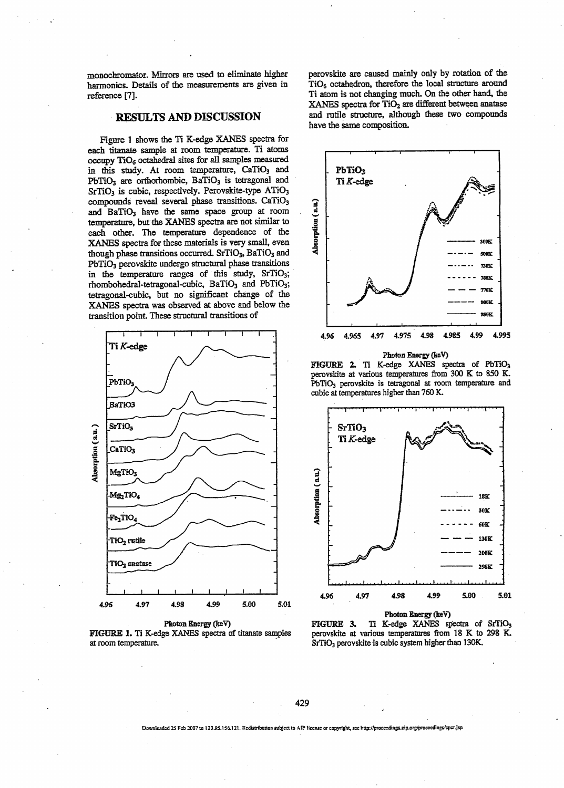monochromator. Mirrors are used to eliminate higher harmonics. Details of the measurements are given in reference [7],

#### RESULTS AND DISCUSSION

Figure 1 shows the Ti K-edge XANES spectra for each titanate sample at room temperature. Ti atoms occupy TlGg octahedral sites for all samples measured in this study. At room temperature, CaTiO<sub>3</sub> and  $PbTiO<sub>3</sub>$  are orthorhombic,  $BaTiO<sub>3</sub>$  is tetragonal and SrTiO<sub>3</sub> is cubic, respectively. Perovskite-type ATiO<sub>3</sub> compounds reveal several phase transitions. CaTiO<sub>3</sub> and BaTiO<sub>3</sub> have the same space group at room temperature, but the XANES spectra are not similar to each other. The temperature dependence of the XANES spectra for these materials is very small, even though phase transitions occurred. SrTiO<sub>3</sub>, BaTiO<sub>3</sub> and PbTiO<sub>3</sub> perovskite undergo structural phase transitions in the temperature ranges of this study, SrTiO<sub>3</sub>; rhombohedral-tetragonal-cubic, BaTiO<sub>3</sub> and PbTiO<sub>3</sub>; tetragonal-cubic, but no significant change of the XANES spectra was observed at above and below the transition point These structural transitions of



Photon Energy (keV) FIGURE 1. Ti K-edge XANES spectra of titanate samples at room temperature.

perovskite are caused mainly only by rotation of the TiO<sub>6</sub> octahedron, therefore the local structure around Ti atom is not changing much. On the other hand, the XANES spectra for TiO<sub>2</sub> are different between anatase and ratile structure, although these two compounds have the same composition.



FIGURE 2. TI K-edge XANES spectra of PbTiOj perovskite at various temperatures from 300 K to 850 K. PbTiO<sub>3</sub> perovskite is tetragonal at room temperature and cubic at temperatures higher than 760 K.





429

.<br>Downloaded 25 Fcb 2007 to 133.95.156.121. Redistribution subject to AfP license or copyright, see http://proceedings.aip.org/proceedings/cp=r.jsp